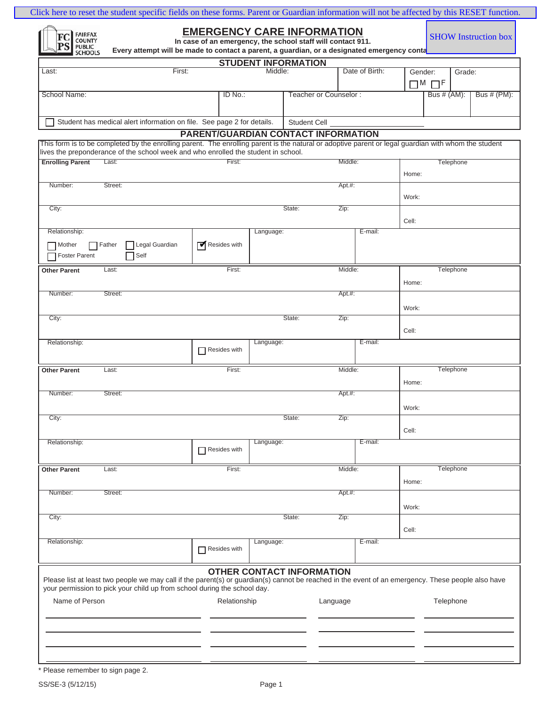| <b>FAIRFAX</b><br>COUNTY<br>FC<br>PS<br><b>PUBLIC</b><br><b>SCHOOLS</b> | Every attempt will be made to contact a parent, a guardian, or a designated emergency conta                                                                                                                                                | <b>EMERGENCY CARE INFORMATION</b><br>In case of an emergency, the school staff will contact 911. |              |                                  |                       |                |         | <b>SHOW</b> Instruction box |
|-------------------------------------------------------------------------|--------------------------------------------------------------------------------------------------------------------------------------------------------------------------------------------------------------------------------------------|--------------------------------------------------------------------------------------------------|--------------|----------------------------------|-----------------------|----------------|---------|-----------------------------|
|                                                                         |                                                                                                                                                                                                                                            |                                                                                                  |              | <b>STUDENT INFORMATION</b>       |                       |                |         |                             |
| Last:                                                                   |                                                                                                                                                                                                                                            | First:                                                                                           |              | Middle:                          |                       | Date of Birth: | Gender: | Grade:<br>$\Box$ M $\Box$ F |
| School Name:                                                            |                                                                                                                                                                                                                                            |                                                                                                  | ID No.:      |                                  | Teacher or Counselor: |                |         | Bus # (PM):<br>Bus # (AM):  |
|                                                                         | Student has medical alert information on file. See page 2 for details.                                                                                                                                                                     |                                                                                                  |              | Student Cell                     |                       |                |         |                             |
|                                                                         |                                                                                                                                                                                                                                            | <b>PARENT/GUARDIAN CONTACT INFORMATION</b>                                                       |              |                                  |                       |                |         |                             |
|                                                                         | This form is to be completed by the enrolling parent. The enrolling parent is the natural or adoptive parent or legal guardian with whom the student<br>lives the preponderance of the school week and who enrolled the student in school. |                                                                                                  |              |                                  |                       |                |         |                             |
| <b>Enrolling Parent</b>                                                 | Last:                                                                                                                                                                                                                                      |                                                                                                  | First:       |                                  | Middle:               |                | Home:   | Telephone                   |
| Number:                                                                 | Street:                                                                                                                                                                                                                                    |                                                                                                  |              |                                  | Apt.#:                |                |         |                             |
| City:                                                                   |                                                                                                                                                                                                                                            |                                                                                                  |              | State:                           | Zip:                  |                | Work:   |                             |
|                                                                         |                                                                                                                                                                                                                                            |                                                                                                  |              |                                  |                       |                | Cell:   |                             |
| Relationship:                                                           |                                                                                                                                                                                                                                            |                                                                                                  | Language:    |                                  |                       | E-mail:        |         |                             |
| Mother<br>Foster Parent                                                 | Legal Guardian<br><b>□ Father</b><br>Self                                                                                                                                                                                                  | Resides with                                                                                     |              |                                  |                       |                |         |                             |
| <b>Other Parent</b>                                                     | Last:                                                                                                                                                                                                                                      |                                                                                                  | First:       |                                  | Middle:               |                |         | Telephone                   |
| Number:                                                                 | Street:                                                                                                                                                                                                                                    |                                                                                                  |              |                                  | Apt.#:                |                | Home:   |                             |
|                                                                         |                                                                                                                                                                                                                                            |                                                                                                  |              |                                  |                       |                | Work:   |                             |
| City:                                                                   |                                                                                                                                                                                                                                            |                                                                                                  |              | State:                           | Zip:                  |                | Cell:   |                             |
| Relationship:                                                           |                                                                                                                                                                                                                                            | Resides with                                                                                     | Language:    |                                  |                       | E-mail:        |         |                             |
| <b>Other Parent</b>                                                     | Last:                                                                                                                                                                                                                                      |                                                                                                  | First:       |                                  | Middle:               |                | Home:   | Telephone                   |
| Number:                                                                 | Street:                                                                                                                                                                                                                                    |                                                                                                  |              |                                  | Apt.#:                |                | Work:   |                             |
| City:                                                                   |                                                                                                                                                                                                                                            |                                                                                                  |              | State:                           | Zip:                  |                |         |                             |
|                                                                         |                                                                                                                                                                                                                                            |                                                                                                  | Language:    |                                  |                       | E-mail:        | Cell:   |                             |
| Relationship:                                                           |                                                                                                                                                                                                                                            | $\Box$ Resides with                                                                              |              |                                  |                       |                |         |                             |
| <b>Other Parent</b>                                                     | Last:                                                                                                                                                                                                                                      |                                                                                                  | First:       |                                  | Middle:               |                |         | Telephone                   |
| Number:                                                                 | Street:                                                                                                                                                                                                                                    |                                                                                                  |              |                                  | Apt.#:                |                | Home:   |                             |
|                                                                         |                                                                                                                                                                                                                                            |                                                                                                  |              |                                  |                       |                | Work:   |                             |
| City:                                                                   |                                                                                                                                                                                                                                            |                                                                                                  |              | State:                           | Zip:                  |                | Cell:   |                             |
| Relationship:                                                           |                                                                                                                                                                                                                                            | $\Box$ Resides with                                                                              | Language:    |                                  |                       | E-mail:        |         |                             |
|                                                                         | Please list at least two people we may call if the parent(s) or guardian(s) cannot be reached in the event of an emergency. These people also have<br>your permission to pick your child up from school during the school day.             |                                                                                                  |              | <b>OTHER CONTACT INFORMATION</b> |                       |                |         |                             |
| Name of Person                                                          |                                                                                                                                                                                                                                            |                                                                                                  | Relationship |                                  | Language              |                |         | Telephone                   |
|                                                                         |                                                                                                                                                                                                                                            |                                                                                                  |              |                                  |                       |                |         |                             |
|                                                                         |                                                                                                                                                                                                                                            |                                                                                                  |              |                                  |                       |                |         |                             |

 $\mathcal{L}$ 

<sup>\*</sup> Please remember to sign page 2.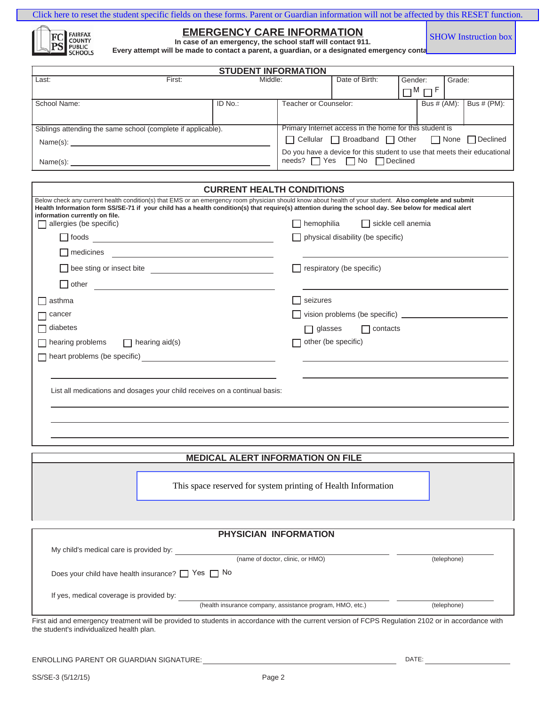|                                    | Click here to reset the student specific fields on these forms. Parent or Guardian information will not be affected by this RESET function.                                                     |                             |  |
|------------------------------------|-------------------------------------------------------------------------------------------------------------------------------------------------------------------------------------------------|-----------------------------|--|
| FC FAIRFAX<br>PS FUBLIC<br>SCHOOLS | <b>EMERGENCY CARE INFORMATION</b><br>In case of an emergency, the school staff will contact 911.<br>Every attempt will be made to contact a parent, a quardian, or a designated emergency conta | <b>SHOW Instruction box</b> |  |

|  |  | <b>EMERGENCY CARE INFOR</b>                 |  |  |
|--|--|---------------------------------------------|--|--|
|  |  | In case of an emergency, the school staff w |  |  |

| In case of an emergency, the school staff will contact 911.                                 |  |
|---------------------------------------------------------------------------------------------|--|
| Every attempt will be made to contact a parent, a guardian, or a designated emergency conta |  |

|                                                              |        | <b>STUDENT INFORMATION</b>                       |                                                         |                                                                                                                            |         |                     |        |                |
|--------------------------------------------------------------|--------|--------------------------------------------------|---------------------------------------------------------|----------------------------------------------------------------------------------------------------------------------------|---------|---------------------|--------|----------------|
| Last:                                                        | First: | Middle:                                          |                                                         | Date of Birth:                                                                                                             | Gender: |                     | Grade: |                |
|                                                              |        |                                                  |                                                         |                                                                                                                            |         | $\Box$ M $\Box$ F   |        |                |
| School Name:                                                 |        | ID No.:                                          | Teacher or Counselor:                                   |                                                                                                                            |         | Bus $\#$ (AM): $\ $ |        | Bus $# (PM)$ : |
|                                                              |        |                                                  |                                                         |                                                                                                                            |         |                     |        |                |
| Siblings attending the same school (complete if applicable). |        |                                                  | Primary Internet access in the home for this student is |                                                                                                                            |         |                     |        |                |
| Name(s):                                                     |        | □ Cellular □ Broadband □ Other □ None □ Declined |                                                         |                                                                                                                            |         |                     |        |                |
| Name(s):                                                     |        |                                                  |                                                         | Do you have a device for this student to use that meets their educational<br>$needs?$ $\Box$ Yes $\Box$ No $\Box$ Declined |         |                     |        |                |

| <u>UURINENI TIEAETII UURUTTUURU</u>                                                                                                                                                                                                                                                                                                               |                                                |
|---------------------------------------------------------------------------------------------------------------------------------------------------------------------------------------------------------------------------------------------------------------------------------------------------------------------------------------------------|------------------------------------------------|
| Below check any current health condition(s) that EMS or an emergency room physician should know about health of your student. Also complete and submit<br>Health Information form SS/SE-71 if your child has a health condition(s) that require(s) attention during the school day. See below for medical alert<br>information currently on file. |                                                |
| allergies (be specific)                                                                                                                                                                                                                                                                                                                           | $\Box$ hemophilia<br>$\Box$ sickle cell anemia |
| $\Box$ foods<br><u> 1989 - Johann Harry Barn, mars ar breist fan de Fryske kommunent fan de ferstjer fan de ferstjer fan de fers</u>                                                                                                                                                                                                              | physical disability (be specific)              |
| $\Box$ medicines                                                                                                                                                                                                                                                                                                                                  |                                                |
| Dee sting or insect bite                                                                                                                                                                                                                                                                                                                          | respiratory (be specific)                      |
| $\Box$ other<br><u> 1989 - Johann Barbara, martin amerikan basal dan berasal dan berasal dalam basal dan berasal dan berasal dan</u>                                                                                                                                                                                                              |                                                |
| $\Box$ asthma                                                                                                                                                                                                                                                                                                                                     | seizures<br>$\blacksquare$                     |
| $\Box$ cancer                                                                                                                                                                                                                                                                                                                                     |                                                |
| $\Box$ diabetes                                                                                                                                                                                                                                                                                                                                   | $\Box$ glasses<br>$\Box$ contacts              |
| $\Box$ hearing problems $\Box$ hearing aid(s)                                                                                                                                                                                                                                                                                                     | other (be specific)                            |
| $\Box$ heart problems (be specific)                                                                                                                                                                                                                                                                                                               |                                                |
|                                                                                                                                                                                                                                                                                                                                                   |                                                |
| List all medications and dosages your child receives on a continual basis:                                                                                                                                                                                                                                                                        |                                                |
|                                                                                                                                                                                                                                                                                                                                                   |                                                |
|                                                                                                                                                                                                                                                                                                                                                   |                                                |
|                                                                                                                                                                                                                                                                                                                                                   |                                                |

# **MEDICAL ALERT INFORMATION ON FILE**

This space reserved for system printing of Health Information

|                                                             | PHYSICIAN INFORMATION                                     |             |
|-------------------------------------------------------------|-----------------------------------------------------------|-------------|
| My child's medical care is provided by:                     |                                                           |             |
|                                                             | (name of doctor, clinic, or HMO)                          | (telephone) |
| Does your child have health insurance? $\Box$ Yes $\Box$ No |                                                           |             |
| If yes, medical coverage is provided by:                    |                                                           |             |
|                                                             | (health insurance company, assistance program, HMO, etc.) | (telephone) |

emergency treatment will be provided to students in accordance with the current version of FCPS Regulation 2102 or in accord the student's individualized health plan.

ENROLLING PARENT OR GUARDIAN SIGNATURE: DATE:

ſ